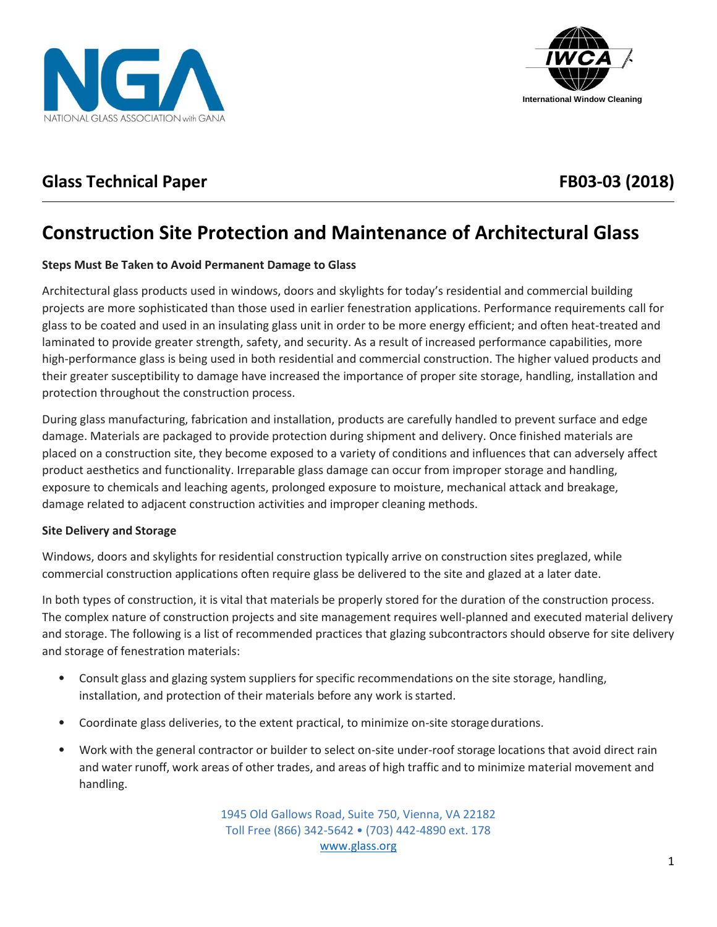



## **Glass Technical Paper FB03-03 (2018)**

# **Construction Site Protection and Maintenance of Architectural Glass**

### **Steps Must Be Taken to Avoid Permanent Damage to Glass**

Architectural glass products used in windows, doors and skylights for today's residential and commercial building projects are more sophisticated than those used in earlier fenestration applications. Performance requirements call for glass to be coated and used in an insulating glass unit in order to be more energy efficient; and often heat-treated and laminated to provide greater strength, safety, and security. As a result of increased performance capabilities, more high-performance glass is being used in both residential and commercial construction. The higher valued products and their greater susceptibility to damage have increased the importance of proper site storage, handling, installation and protection throughout the construction process.

During glass manufacturing, fabrication and installation, products are carefully handled to prevent surface and edge damage. Materials are packaged to provide protection during shipment and delivery. Once finished materials are placed on a construction site, they become exposed to a variety of conditions and influences that can adversely affect product aesthetics and functionality. Irreparable glass damage can occur from improper storage and handling, exposure to chemicals and leaching agents, prolonged exposure to moisture, mechanical attack and breakage, damage related to adjacent construction activities and improper cleaning methods.

#### **Site Delivery and Storage**

Windows, doors and skylights for residential construction typically arrive on construction sites preglazed, while commercial construction applications often require glass be delivered to the site and glazed at a later date.

In both types of construction, it is vital that materials be properly stored for the duration of the construction process. The complex nature of construction projects and site management requires well-planned and executed material delivery and storage. The following is a list of recommended practices that glazing subcontractors should observe for site delivery and storage of fenestration materials:

- Consult glass and glazing system suppliers for specific recommendations on the site storage, handling, installation, and protection of their materials before any work is started.
- Coordinate glass deliveries, to the extent practical, to minimize on-site storagedurations.
- Work with the general contractor or builder to select on-site under-roof storage locations that avoid direct rain and water runoff, work areas of other trades, and areas of high traffic and to minimize material movement and handling.

1945 Old Gallows Road, Suite 750, Vienna, VA 22182 Toll Free (866) 342-5642 • (703) 442-4890 ext. 178 [www.glass.org](http://www.glass.org/)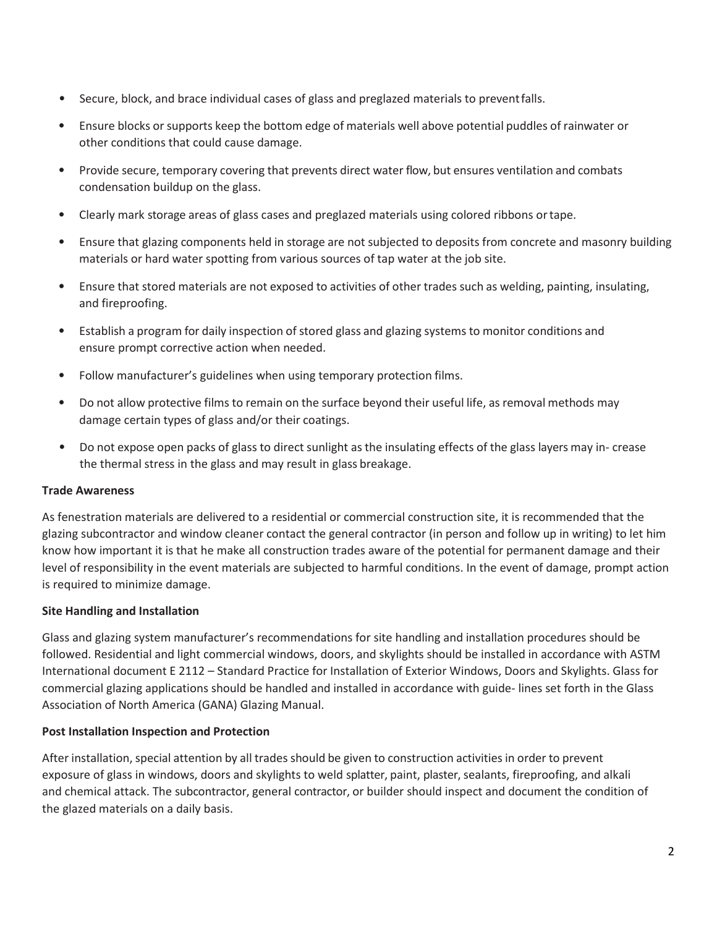- Secure, block, and brace individual cases of glass and preglazed materials to preventfalls.
- Ensure blocks or supports keep the bottom edge of materials well above potential puddles of rainwater or other conditions that could cause damage.
- Provide secure, temporary covering that prevents direct water flow, but ensures ventilation and combats condensation buildup on the glass.
- Clearly mark storage areas of glass cases and preglazed materials using colored ribbons ortape.
- Ensure that glazing components held in storage are not subjected to deposits from concrete and masonry building materials or hard water spotting from various sources of tap water at the job site.
- Ensure that stored materials are not exposed to activities of other trades such as welding, painting, insulating, and fireproofing.
- Establish a program for daily inspection of stored glass and glazing systems to monitor conditions and ensure prompt corrective action when needed.
- Follow manufacturer's guidelines when using temporary protection films.
- Do not allow protective films to remain on the surface beyond their useful life, as removal methods may damage certain types of glass and/or their coatings.
- Do not expose open packs of glass to direct sunlight as the insulating effects of the glass layers may in- crease the thermal stress in the glass and may result in glass breakage.

#### **Trade Awareness**

As fenestration materials are delivered to a residential or commercial construction site, it is recommended that the glazing subcontractor and window cleaner contact the general contractor (in person and follow up in writing) to let him know how important it is that he make all construction trades aware of the potential for permanent damage and their level of responsibility in the event materials are subjected to harmful conditions. In the event of damage, prompt action is required to minimize damage.

#### **Site Handling and Installation**

Glass and glazing system manufacturer's recommendations for site handling and installation procedures should be followed. Residential and light commercial windows, doors, and skylights should be installed in accordance with ASTM International document E 2112 – Standard Practice for Installation of Exterior Windows, Doors and Skylights. Glass for commercial glazing applications should be handled and installed in accordance with guide- lines set forth in the Glass Association of North America (GANA) Glazing Manual.

### **Post Installation Inspection and Protection**

After installation, special attention by all trades should be given to construction activities in order to prevent exposure of glass in windows, doors and skylights to weld splatter, paint, plaster, sealants, fireproofing, and alkali and chemical attack. The subcontractor, general contractor, or builder should inspect and document the condition of the glazed materials on a daily basis.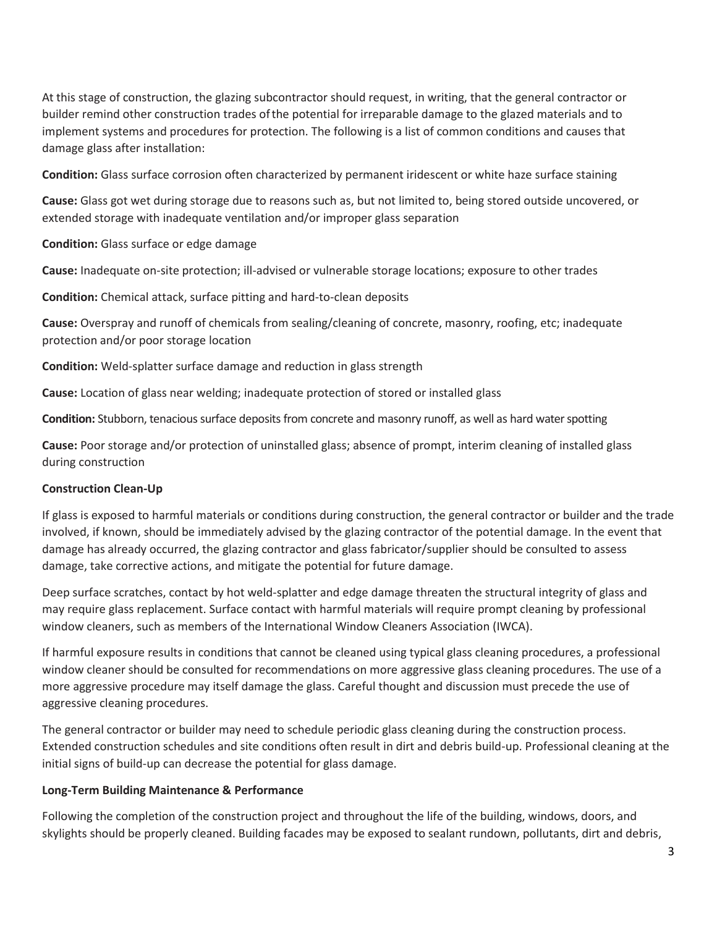At this stage of construction, the glazing subcontractor should request, in writing, that the general contractor or builder remind other construction trades ofthe potential for irreparable damage to the glazed materials and to implement systems and procedures for protection. The following is a list of common conditions and causes that damage glass after installation:

**Condition:** Glass surface corrosion often characterized by permanent iridescent or white haze surface staining

**Cause:** Glass got wet during storage due to reasons such as, but not limited to, being stored outside uncovered, or extended storage with inadequate ventilation and/or improper glass separation

**Condition:** Glass surface or edge damage

**Cause:** Inadequate on-site protection; ill-advised or vulnerable storage locations; exposure to other trades

**Condition:** Chemical attack, surface pitting and hard-to-clean deposits

**Cause:** Overspray and runoff of chemicals from sealing/cleaning of concrete, masonry, roofing, etc; inadequate protection and/or poor storage location

**Condition:** Weld-splatter surface damage and reduction in glass strength

**Cause:** Location of glass near welding; inadequate protection of stored or installed glass

**Condition:** Stubborn, tenacious surface deposits from concrete and masonry runoff, as well as hard water spotting

**Cause:** Poor storage and/or protection of uninstalled glass; absence of prompt, interim cleaning of installed glass during construction

#### **Construction Clean-Up**

If glass is exposed to harmful materials or conditions during construction, the general contractor or builder and the trade involved, if known, should be immediately advised by the glazing contractor of the potential damage. In the event that damage has already occurred, the glazing contractor and glass fabricator/supplier should be consulted to assess damage, take corrective actions, and mitigate the potential for future damage.

Deep surface scratches, contact by hot weld-splatter and edge damage threaten the structural integrity of glass and may require glass replacement. Surface contact with harmful materials will require prompt cleaning by professional window cleaners, such as members of the International Window Cleaners Association (IWCA).

If harmful exposure results in conditions that cannot be cleaned using typical glass cleaning procedures, a professional window cleaner should be consulted for recommendations on more aggressive glass cleaning procedures. The use of a more aggressive procedure may itself damage the glass. Careful thought and discussion must precede the use of aggressive cleaning procedures.

The general contractor or builder may need to schedule periodic glass cleaning during the construction process. Extended construction schedules and site conditions often result in dirt and debris build-up. Professional cleaning at the initial signs of build-up can decrease the potential for glass damage.

#### **Long-Term Building Maintenance & Performance**

Following the completion of the construction project and throughout the life of the building, windows, doors, and skylights should be properly cleaned. Building facades may be exposed to sealant rundown, pollutants, dirt and debris,